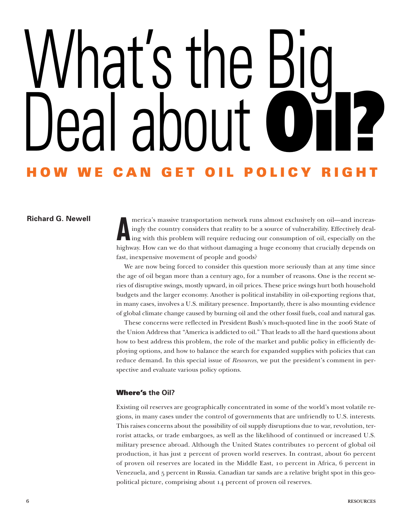# at's t Deal about **Oıl? HOW WE CAN GET OIL POLICY RIGHT**

# **Richard G. Newell**

**A** merica's massive transportation network runs almost exclusively on oil—and increasingly the country considers that reality to be a source of vulnerability. Effectively dealing with this problem will require reducing our consumption of oil, especially on the highway. How can we do that without damaging a huge economy that crucially depends on fast, inexpensive movement of people and goods?

We are now being forced to consider this question more seriously than at any time since the age of oil began more than a century ago, for a number of reasons. One is the recent series of disruptive swings, mostly upward, in oil prices. These price swings hurt both household budgets and the larger economy. Another is political instability in oil-exporting regions that, in many cases, involves a U.S. military presence. Importantly, there is also mounting evidence of global climate change caused by burning oil and the other fossil fuels, coal and natural gas.

These concerns were reflected in President Bush's much-quoted line in the 2006 State of the Union Address that "America is addicted to oil." That leads to all the hard questions about how to best address this problem, the role of the market and public policy in efficiently deploying options, and how to balance the search for expanded supplies with policies that can reduce demand. In this special issue of *Resources*, we put the president's comment in perspective and evaluate various policy options.

# **Where's the Oil?**

Existing oil reserves are geographically concentrated in some of the world's most volatile regions, in many cases under the control of governments that are unfriendly to U.S. interests. This raises concerns about the possibility of oil supply disruptions due to war, revolution, terrorist attacks, or trade embargoes, as well as the likelihood of continued or increased U.S. military presence abroad. Although the United States contributes 10 percent of global oil production, it has just 2 percent of proven world reserves. In contrast, about 60 percent of proven oil reserves are located in the Middle East, 10 percent in Africa, 6 percent in Venezuela, and 5 percent in Russia. Canadian tar sands are a relative bright spot in this geopolitical picture, comprising about 14 percent of proven oil reserves.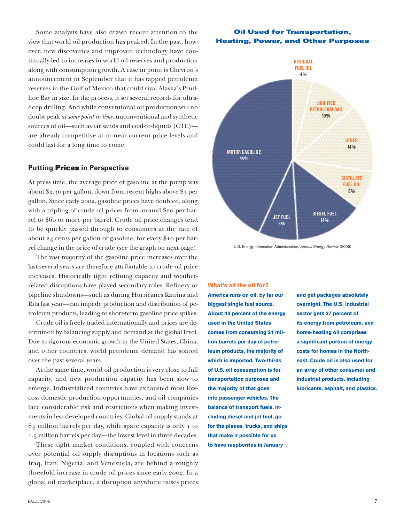Some analysts have also drawn recent attention to the view that world oil production has peaked. In the past, however, new discoveries and improved technology have continually led to increases in world oil reserves and production along with consumption growth. A case in point is Chevron's announcement in September that it has tapped petroleum reserves in the Gulf of Mexico that could rival Alaska's Prudhoe Bay in size. In the process, it set several records for ultradeep drilling. And while conventional oil production will no doubt peak *at some point in time*, unconventional and synthetic sources of oil—such as tar sands and coal-to-liquids (CTL) are already competitive at or near current price levels and could last for a long time to come.

## **Putting Prices in Perspective**

At press time, the average price of gasoline at the pump was about \$2.30 per gallon, down from recent highs above \$3 per gallon. Since early 2002, gasoline prices have doubled, along with a tripling of crude oil prices from around \$20 per barrel to \$60 or more per barrel. Crude oil price changes tend to be quickly passed through to consumers at the rate of about 24 cents per gallon of gasoline, for every \$10 per barrel change in the price of crude (see the graph on next page).

The vast majority of the gasoline price increases over the last several years are therefore attributable to crude oil price increases. Historically tight refining capacity and weatherrelated disruptions have played secondary roles. Refinery or pipeline shutdowns—such as during Hurricanes Katrina and Rita last year—can impede production and distribution of petroleum products, leading to short-term gasoline price spikes.

Crude oil is freely traded internationally and prices are determined by balancing supply and demand at the global level. Due to vigorous economic growth in the United States, China, and other countries, world petroleum demand has soared over the past several years.

At the same time, world oil production is very close to full capacity, and new production capacity has been slow to emerge. Industrialized countries have exhausted most lowcost domestic production opportunities, and oil companies face considerable risk and restrictions when making investments in less-developed countries. Global oil supply stands at 84 million barrels per day, while spare capacity is only 1 to 1.5 million barrels per day—the lowest level in three decades.

These tight market conditions, coupled with concerns over potential oil supply disruptions in locations such as Iraq, Iran, Nigeria, and Venezuela, are behind a roughly threefold increase in crude oil prices since early 2002. In a global oil marketplace, a disruption anywhere raises prices

# **Oil Used for Transportation, Heating, Power, and Other Purposes**



U.S. Energy Information Administration, *Annual Energy Review* (2005)

#### **What's all the oil for?**

**America runs on oil, by far our biggest single fuel source. About 40 percent of the energy used in the United States comes from consuming 21 million barrels per day of petroleum products, the majority of which is imported. Two-thirds of U.S. oil consumption is for transportation purposes and the majority of that goes into passenger vehicles. The balance of transport fuels, including diesel and jet fuel, go for the planes, trucks, and ships that make it possible for us to have raspberries in January** 

**and get packages absolutely overnight. The U.S. industrial sector gets 37 percent of its energy from petroleum, and home-heating oil comprises a significant portion of energy costs for homes in the Northeast. Crude oil is also used for an array of other consumer and industrial products, including lubricants, asphalt, and plastics.**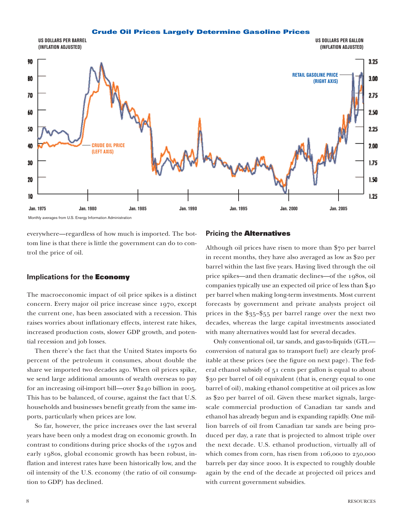#### **Crude Oil Prices Largely Determine Gasoline Prices**



Monthly averages from U.S. Energy Information Administration

everywhere—regardless of how much is imported. The bottom line is that there is little the government can do to control the price of oil.

#### **Implications for the Economy**

The macroeconomic impact of oil price spikes is a distinct concern. Every major oil price increase since 1970, except the current one, has been associated with a recession. This raises worries about inflationary effects, interest rate hikes, increased production costs, slower GDP growth, and potential recession and job losses.

Then there's the fact that the United States imports 60 percent of the petroleum it consumes, about double the share we imported two decades ago. When oil prices spike, we send large additional amounts of wealth overseas to pay for an increasing oil-import bill—over \$240 billion in 2005. This has to be balanced, of course, against the fact that U.S. households and businesses benefit greatly from the same imports, particularly when prices are low.

So far, however, the price increases over the last several years have been only a modest drag on economic growth. In contrast to conditions during price shocks of the 1970s and early 1980s, global economic growth has been robust, inflation and interest rates have been historically low, and the oil intensity of the U.S. economy (the ratio of oil consumption to GDP) has declined.

#### **Pricing the Alternatives**

Although oil prices have risen to more than \$70 per barrel in recent months, they have also averaged as low as \$20 per barrel within the last five years. Having lived through the oil price spikes—and then dramatic declines—of the 1980s, oil companies typically use an expected oil price of less than \$40 per barrel when making long-term investments. Most current forecasts by government and private analysts project oil prices in the \$35–\$55 per barrel range over the next two decades, whereas the large capital investments associated with many alternatives would last for several decades.

Only conventional oil, tar sands, and gas-to-liquids (GTL conversion of natural gas to transport fuel) are clearly profitable at these prices (see the figure on next page). The federal ethanol subsidy of 51 cents per gallon is equal to about \$30 per barrel of oil equivalent (that is, energy equal to one barrel of oil), making ethanol competitive at oil prices as low as \$20 per barrel of oil. Given these market signals, largescale commercial production of Canadian tar sands and ethanol has already begun and is expanding rapidly. One million barrels of oil from Canadian tar sands are being produced per day, a rate that is projected to almost triple over the next decade. U.S. ethanol production, virtually all of which comes from corn, has risen from 106,000 to 250,000 barrels per day since 2000. It is expected to roughly double again by the end of the decade at projected oil prices and with current government subsidies.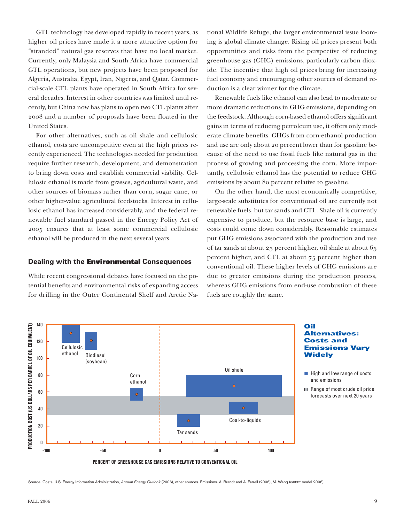GTL technology has developed rapidly in recent years, as higher oil prices have made it a more attractive option for "stranded" natural gas reserves that have no local market. Currently, only Malaysia and South Africa have commercial GTL operations, but new projects have been proposed for Algeria, Australia, Egypt, Iran, Nigeria, and Qatar. Commercial-scale CTL plants have operated in South Africa for several decades. Interest in other countries was limited until recently, but China now has plans to open two CTL plants after 2008 and a number of proposals have been floated in the United States.

For other alternatives, such as oil shale and cellulosic ethanol, costs are uncompetitive even at the high prices recently experienced. The technologies needed for production require further research, development, and demonstration to bring down costs and establish commercial viability. Cellulosic ethanol is made from grasses, agricultural waste, and other sources of biomass rather than corn, sugar cane, or other higher-value agricultural feedstocks. Interest in cellulosic ethanol has increased considerably, and the federal renewable fuel standard passed in the Energy Policy Act of 2005 ensures that at least some commercial cellulosic ethanol will be produced in the next several years.

## **Dealing with the Environmental Consequences**

While recent congressional debates have focused on the potential benefits and environmental risks of expanding access for drilling in the Outer Continental Shelf and Arctic Na-

tional Wildlife Refuge, the larger environmental issue looming is global climate change. Rising oil prices present both opportunities and risks from the perspective of reducing greenhouse gas (GHG) emissions, particularly carbon dioxide. The incentive that high oil prices bring for increasing fuel economy and encouraging other sources of demand reduction is a clear winner for the climate.

Renewable fuels like ethanol can also lead to moderate or more dramatic reductions in GHG emissions, depending on the feedstock. Although corn-based ethanol offers significant gains in terms of reducing petroleum use, it offers only moderate climate benefits. GHGs from corn-ethanol production and use are only about 20 percent lower than for gasoline because of the need to use fossil fuels like natural gas in the process of growing and processing the corn. More importantly, cellulosic ethanol has the potential to reduce GHG emissions by about 80 percent relative to gasoline.

On the other hand, the most economically competitive, large-scale substitutes for conventional oil are currently not renewable fuels, but tar sands and CTL. Shale oil is currently expensive to produce, but the resource base is large, and costs could come down considerably. Reasonable estimates put GHG emissions associated with the production and use of tar sands at about 25 percent higher, oil shale at about 65 percent higher, and CTL at about 75 percent higher than conventional oil. These higher levels of GHG emissions are due to greater emissions during the production process, whereas GHG emissions from end-use combustion of these fuels are roughly the same.



Source: Costs. U.S. Energy Information Administration, *Annual Energy Outlook* (2006), other sources. Emissions, A. Brandt and A. Farrell (2006), M. Wang (GREET model 2006).